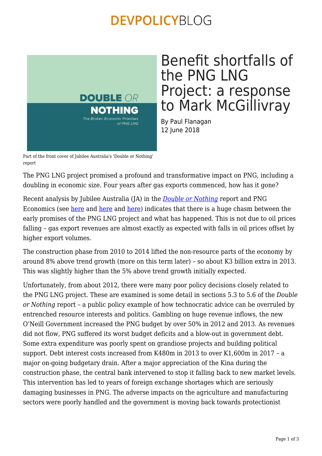### **DEVPOLICYBLOG**



## Benefit shortfalls of the PNG LNG Project: a response to Mark McGillivray

By Paul Flanagan 12 June 2018

Part of the front cover of Jubilee Australia's 'Double or Nothing' report

The PNG LNG project promised a profound and transformative impact on PNG, including a doubling in economic size. Four years after gas exports commenced, how has it gone?

Recent analysis by Jubilee Australia (JA) in the *[Double or Nothing](http://www.jubileeaustralia.org/resources-1/Reports)* report and PNG Economics (see [here](http://pngeconomics.org/2018/04/png-lng-failed-predictions-and-the-resource-curse/) and [here](http://pngeconomics.org/2018/06/png-lng-project-detailed-sectoral-impacts/) and here) indicates that there is a huge chasm between the early promises of the PNG LNG project and what has happened. This is not due to oil prices falling – gas export revenues are almost exactly as expected with falls in oil prices offset by higher export volumes.

The construction phase from 2010 to 2014 lifted the non-resource parts of the economy by around 8% above trend growth (more on this term later) – so about K3 billion extra in 2013. This was slightly higher than the 5% above trend growth initially expected.

Unfortunately, from about 2012, there were many poor policy decisions closely related to the PNG LNG project. These are examined is some detail in sections 5.3 to 5.6 of the *Double or Nothing* report – a public policy example of how technocratic advice can be overruled by entrenched resource interests and politics. Gambling on huge revenue inflows, the new O'Neill Government increased the PNG budget by over 50% in 2012 and 2013. As revenues did not flow, PNG suffered its worst budget deficits and a blow-out in government debt. Some extra expenditure was poorly spent on grandiose projects and building political support. Debt interest costs increased from K480m in 2013 to over K1,600m in 2017 – a major on-going budgetary drain. After a major appreciation of the Kina during the construction phase, the central bank intervened to stop it falling back to new market levels. This intervention has led to years of foreign exchange shortages which are seriously damaging businesses in PNG. The adverse impacts on the agriculture and manufacturing sectors were poorly handled and the government is moving back towards protectionist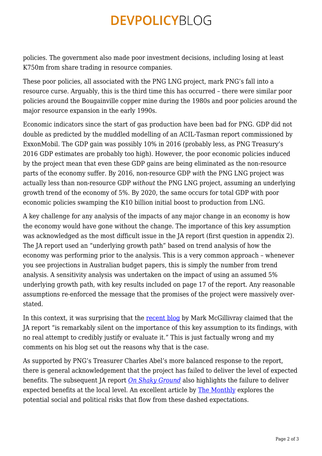# **DEVPOLICYBLOG**

policies. The government also made poor investment decisions, including losing at least K750m from share trading in resource companies.

These poor policies, all associated with the PNG LNG project, mark PNG's fall into a resource curse. Arguably, this is the third time this has occurred – there were similar poor policies around the Bougainville copper mine during the 1980s and poor policies around the major resource expansion in the early 1990s.

Economic indicators since the start of gas production have been bad for PNG. GDP did not double as predicted by the muddled modelling of an ACIL-Tasman report commissioned by ExxonMobil. The GDP gain was possibly 10% in 2016 (probably less, as PNG Treasury's 2016 GDP estimates are probably too high). However, the poor economic policies induced by the project mean that even these GDP gains are being eliminated as the non-resource parts of the economy suffer. By 2016, non-resource GDP *with* the PNG LNG project was actually less than non-resource GDP *without* the PNG LNG project, assuming an underlying growth trend of the economy of 5%. By 2020, the same occurs for total GDP with poor economic policies swamping the K10 billion initial boost to production from LNG.

A key challenge for any analysis of the impacts of any major change in an economy is how the economy would have gone without the change. The importance of this key assumption was acknowledged as the most difficult issue in the JA report (first question in appendix 2). The JA report used an "underlying growth path" based on trend analysis of how the economy was performing prior to the analysis. This is a very common approach – whenever you see projections in Australian budget papers, this is simply the number from trend analysis. A sensitivity analysis was undertaken on the impact of using an assumed 5% underlying growth path, with key results included on page 17 of the report. Any reasonable assumptions re-enforced the message that the promises of the project were massively overstated.

In this context, it was surprising that the [recent blog](https://devpolicy.org/economic-analysis-of-the-png-lng-project-20180607/) by Mark McGillivray claimed that the JA report "is remarkably silent on the importance of this key assumption to its findings, with no real attempt to credibly justify or evaluate it." This is just factually wrong and my comments on his blog set out the reasons why that is the case.

As supported by PNG's Treasurer Charles Abel's more balanced response to the report, there is general acknowledgement that the project has failed to deliver the level of expected benefits. The subsequent JA report *[On Shaky Ground](http://www.jubileeaustralia.org/resources-1/Reports)* also highlights the failure to deliver expected benefits at the local level. An excellent article by [The Monthly](https://www.themonthly.com.au/issue/2018/may/1525096800/jo-chandler/papua-new-guinea-s-resource-curse) explores the potential social and political risks that flow from these dashed expectations.